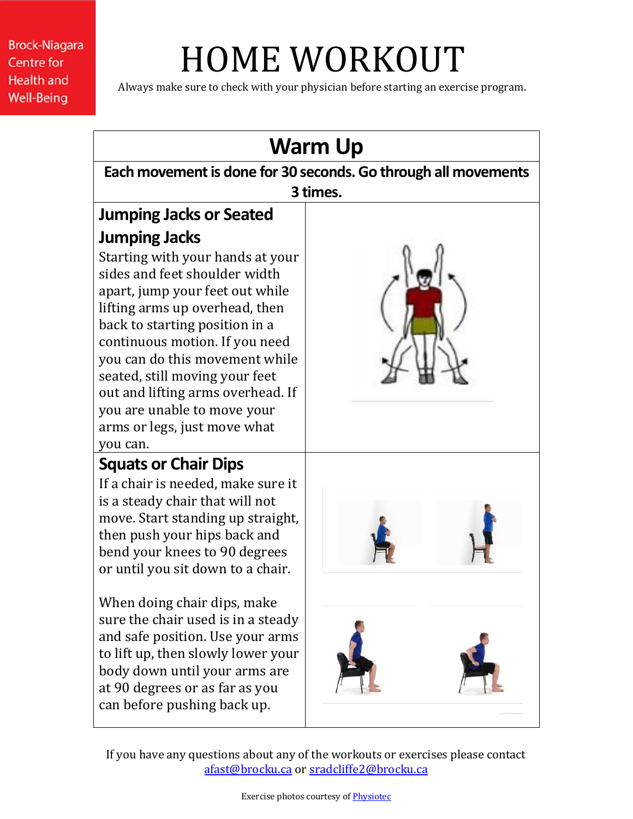**Brock-Niagara Centre for Health and Well-Being** 

## HOME WORKOUT

Always make sure to check with your physician before starting an exercise program.



If you have any questions about any of the workouts or exercises please contact [afast@brocku.ca](mailto:afast@brocku.ca) or [sradcliffe2@brocku.ca](mailto:sradcliffe2@brocku.ca)